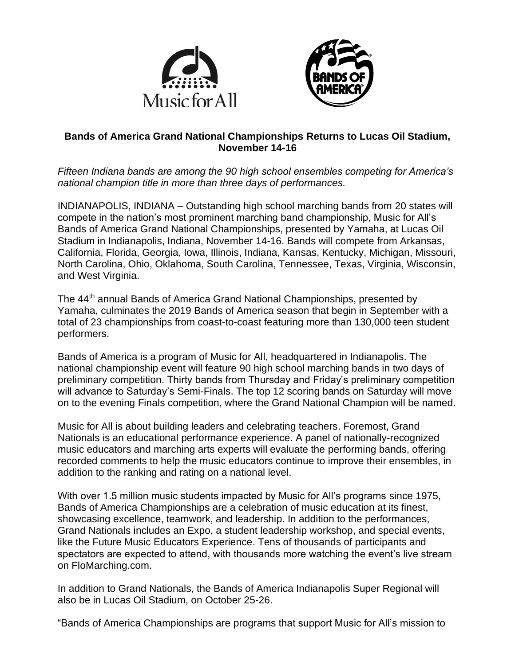



## **Bands of America Grand National Championships Returns to Lucas Oil Stadium, November 14-16**

*Fifteen Indiana bands are among the 90 high school ensembles competing for America's national champion title in more than three days of performances.*

INDIANAPOLIS, INDIANA – Outstanding high school marching bands from 20 states will compete in the nation's most prominent marching band championship, Music for All's Bands of America Grand National Championships, presented by Yamaha, at Lucas Oil Stadium in Indianapolis, Indiana, November 14-16. Bands will compete from Arkansas, California, Florida, Georgia, Iowa, Illinois, Indiana, Kansas, Kentucky, Michigan, Missouri, North Carolina, Ohio, Oklahoma, South Carolina, Tennessee, Texas, Virginia, Wisconsin, and West Virginia.

The 44<sup>th</sup> annual Bands of America Grand National Championships, presented by Yamaha, culminates the 2019 Bands of America season that begin in September with a total of 23 championships from coast-to-coast featuring more than 130,000 teen student performers.

Bands of America is a program of Music for All, headquartered in Indianapolis. The national championship event will feature 90 high school marching bands in two days of preliminary competition. Thirty bands from Thursday and Friday's preliminary competition will advance to Saturday's Semi-Finals. The top 12 scoring bands on Saturday will move on to the evening Finals competition, where the Grand National Champion will be named.

Music for All is about building leaders and celebrating teachers. Foremost, Grand Nationals is an educational performance experience. A panel of nationally-recognized music educators and marching arts experts will evaluate the performing bands, offering recorded comments to help the music educators continue to improve their ensembles, in addition to the ranking and rating on a national level.

With over 1.5 million music students impacted by Music for All's programs since 1975, Bands of America Championships are a celebration of music education at its finest, showcasing excellence, teamwork, and leadership. In addition to the performances, Grand Nationals includes an Expo, a student leadership workshop, and special events, like the Future Music Educators Experience. Tens of thousands of participants and spectators are expected to attend, with thousands more watching the event's live stream on FloMarching.com.

In addition to Grand Nationals, the Bands of America Indianapolis Super Regional will also be in Lucas Oil Stadium, on October 25-26.

"Bands of America Championships are programs that support Music for All's mission to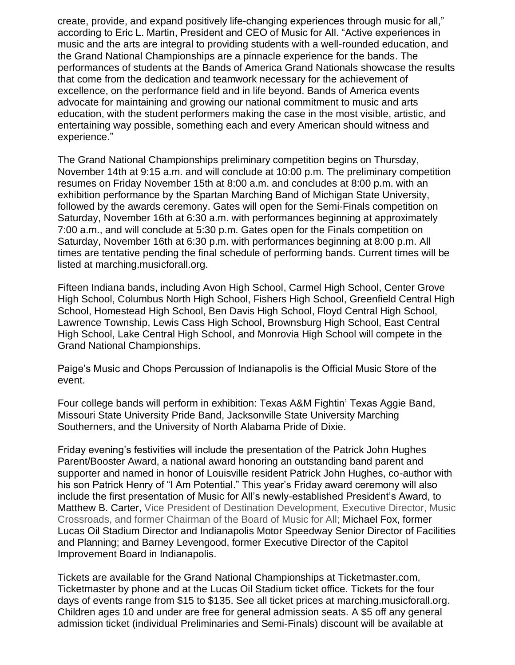create, provide, and expand positively life-changing experiences through music for all," according to Eric L. Martin, President and CEO of Music for All. "Active experiences in music and the arts are integral to providing students with a well-rounded education, and the Grand National Championships are a pinnacle experience for the bands. The performances of students at the Bands of America Grand Nationals showcase the results that come from the dedication and teamwork necessary for the achievement of excellence, on the performance field and in life beyond. Bands of America events advocate for maintaining and growing our national commitment to music and arts education, with the student performers making the case in the most visible, artistic, and entertaining way possible, something each and every American should witness and experience."

The Grand National Championships preliminary competition begins on Thursday, November 14th at 9:15 a.m. and will conclude at 10:00 p.m. The preliminary competition resumes on Friday November 15th at 8:00 a.m. and concludes at 8:00 p.m. with an exhibition performance by the Spartan Marching Band of Michigan State University, followed by the awards ceremony. Gates will open for the Semi-Finals competition on Saturday, November 16th at 6:30 a.m. with performances beginning at approximately 7:00 a.m., and will conclude at 5:30 p.m. Gates open for the Finals competition on Saturday, November 16th at 6:30 p.m. with performances beginning at 8:00 p.m. All times are tentative pending the final schedule of performing bands. Current times will be listed at marching.musicforall.org.

Fifteen Indiana bands, including Avon High School, Carmel High School, Center Grove High School, Columbus North High School, Fishers High School, Greenfield Central High School, Homestead High School, Ben Davis High School, Floyd Central High School, Lawrence Township, Lewis Cass High School, Brownsburg High School, East Central High School, Lake Central High School, and Monrovia High School will compete in the Grand National Championships.

Paige's Music and Chops Percussion of Indianapolis is the Official Music Store of the event.

Four college bands will perform in exhibition: Texas A&M Fightin' Texas Aggie Band, Missouri State University Pride Band, Jacksonville State University Marching Southerners, and the University of North Alabama Pride of Dixie.

Friday evening's festivities will include the presentation of the Patrick John Hughes Parent/Booster Award, a national award honoring an outstanding band parent and supporter and named in honor of Louisville resident Patrick John Hughes, co-author with his son Patrick Henry of "I Am Potential." This year's Friday award ceremony will also include the first presentation of Music for All's newly-established President's Award, to Matthew B. Carter, Vice President of Destination Development, Executive Director, Music Crossroads, and former Chairman of the Board of Music for All; Michael Fox, former Lucas Oil Stadium Director and Indianapolis Motor Speedway Senior Director of Facilities and Planning; and Barney Levengood, former Executive Director of the Capitol Improvement Board in Indianapolis.

Tickets are available for the Grand National Championships at Ticketmaster.com, Ticketmaster by phone and at the Lucas Oil Stadium ticket office. Tickets for the four days of events range from \$15 to \$135. See all ticket prices at marching.musicforall.org. Children ages 10 and under are free for general admission seats. A \$5 off any general admission ticket (individual Preliminaries and Semi-Finals) discount will be available at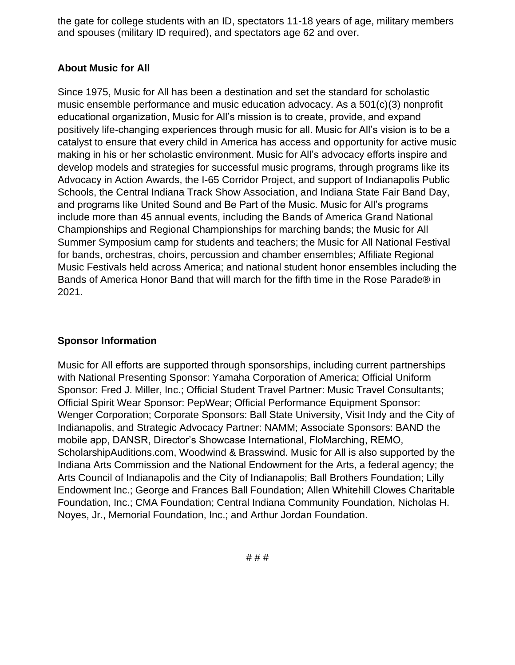the gate for college students with an ID, spectators 11-18 years of age, military members and spouses (military ID required), and spectators age 62 and over.

## **About Music for All**

Since 1975, Music for All has been a destination and set the standard for scholastic music ensemble performance and music education advocacy. As a 501(c)(3) nonprofit educational organization, Music for All's mission is to create, provide, and expand positively life-changing experiences through music for all. Music for All's vision is to be a catalyst to ensure that every child in America has access and opportunity for active music making in his or her scholastic environment. Music for All's advocacy efforts inspire and develop models and strategies for successful music programs, through programs like its Advocacy in Action Awards, the I-65 Corridor Project, and support of Indianapolis Public Schools, the Central Indiana Track Show Association, and Indiana State Fair Band Day, and programs like United Sound and Be Part of the Music. Music for All's programs include more than 45 annual events, including the Bands of America Grand National Championships and Regional Championships for marching bands; the Music for All Summer Symposium camp for students and teachers; the Music for All National Festival for bands, orchestras, choirs, percussion and chamber ensembles; Affiliate Regional Music Festivals held across America; and national student honor ensembles including the Bands of America Honor Band that will march for the fifth time in the Rose Parade® in 2021.

## **Sponsor Information**

Music for All efforts are supported through sponsorships, including current partnerships with National Presenting Sponsor: Yamaha Corporation of America; Official Uniform Sponsor: Fred J. Miller, Inc.; Official Student Travel Partner: Music Travel Consultants; Official Spirit Wear Sponsor: PepWear; Official Performance Equipment Sponsor: Wenger Corporation; Corporate Sponsors: Ball State University, Visit Indy and the City of Indianapolis, and Strategic Advocacy Partner: NAMM; Associate Sponsors: BAND the mobile app, DANSR, Director's Showcase International, FloMarching, REMO, ScholarshipAuditions.com, Woodwind & Brasswind. Music for All is also supported by the Indiana Arts Commission and the National Endowment for the Arts, a federal agency; the Arts Council of Indianapolis and the City of Indianapolis; Ball Brothers Foundation; Lilly Endowment Inc.; George and Frances Ball Foundation; Allen Whitehill Clowes Charitable Foundation, Inc.; CMA Foundation; Central Indiana Community Foundation, Nicholas H. Noyes, Jr., Memorial Foundation, Inc.; and Arthur Jordan Foundation.